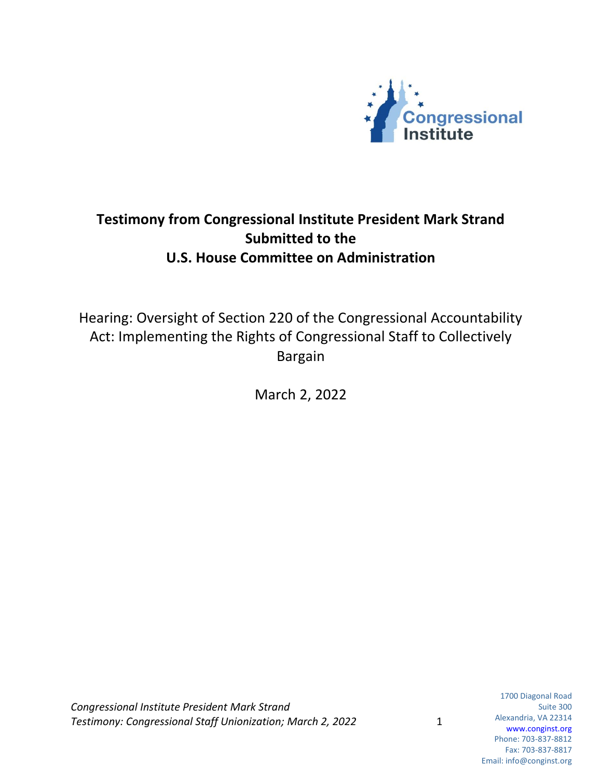

## **Testimony from Congressional Institute President Mark Strand Submitted to the U.S. House Committee on Administration**

Hearing: Oversight of Section 220 of the Congressional Accountability Act: Implementing the Rights of Congressional Staff to Collectively Bargain

March 2, 2022

*Congressional Institute President Mark Strand Testimony: Congressional Staff Unionization; March 2, 2022* 1

1700 Diagonal Road Suite 300 Alexandria, VA 22314 www.conginst.org Phone: 703-837-8812 Fax: 703-837-8817 Email: info@conginst.org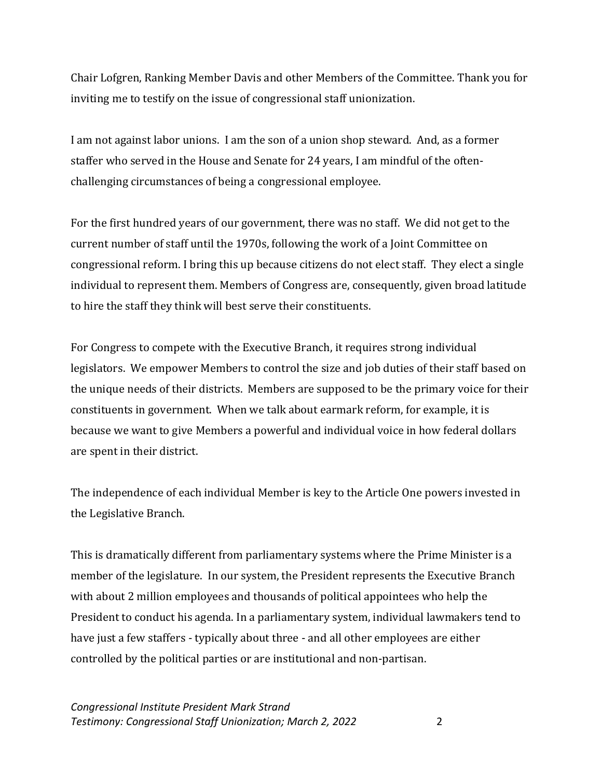Chair Lofgren, Ranking Member Davis and other Members of the Committee. Thank you for inviting me to testify on the issue of congressional staff unionization.

I am not against labor unions. I am the son of a union shop steward. And, as a former staffer who served in the House and Senate for 24 years, I am mindful of the oftenchallenging circumstances of being a congressional employee.

For the first hundred years of our government, there was no staff. We did not get to the current number of staff until the 1970s, following the work of a Joint Committee on congressional reform. I bring this up because citizens do not elect staff. They elect a single individual to represent them. Members of Congress are, consequently, given broad latitude to hire the staff they think will best serve their constituents.

For Congress to compete with the Executive Branch, it requires strong individual legislators. We empower Members to control the size and job duties of their staff based on the unique needs of their districts. Members are supposed to be the primary voice for their constituents in government. When we talk about earmark reform, for example, it is because we want to give Members a powerful and individual voice in how federal dollars are spent in their district.

The independence of each individual Member is key to the Article One powers invested in the Legislative Branch.

This is dramatically different from parliamentary systems where the Prime Minister is a member of the legislature. In our system, the President represents the Executive Branch with about 2 million employees and thousands of political appointees who help the President to conduct his agenda. In a parliamentary system, individual lawmakers tend to have just a few staffers - typically about three - and all other employees are either controlled by the political parties or are institutional and non-partisan.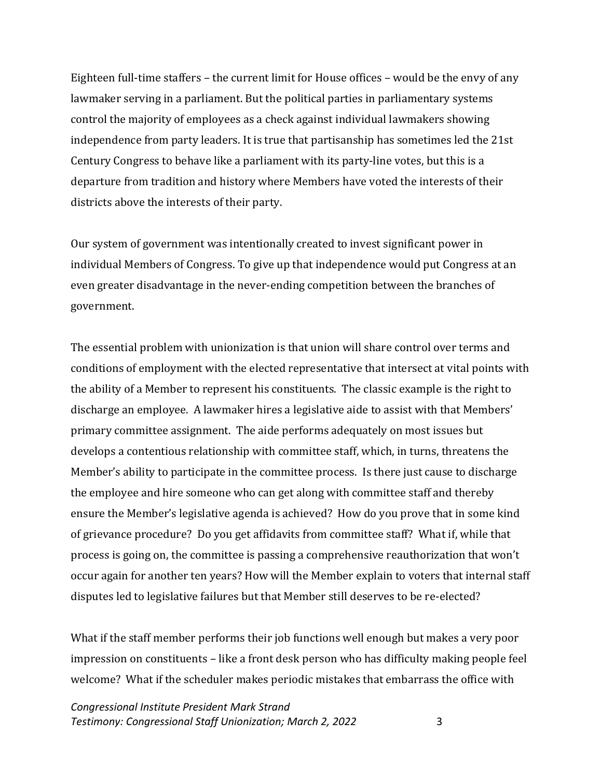Eighteen full-time staffers – the current limit for House offices – would be the envy of any lawmaker serving in a parliament. But the political parties in parliamentary systems control the majority of employees as a check against individual lawmakers showing independence from party leaders. It is true that partisanship has sometimes led the 21st Century Congress to behave like a parliament with its party-line votes, but this is a departure from tradition and history where Members have voted the interests of their districts above the interests of their party.

Our system of government was intentionally created to invest significant power in individual Members of Congress. To give up that independence would put Congress at an even greater disadvantage in the never-ending competition between the branches of government.

The essential problem with unionization is that union will share control over terms and conditions of employment with the elected representative that intersect at vital points with the ability of a Member to represent his constituents. The classic example is the right to discharge an employee. A lawmaker hires a legislative aide to assist with that Members' primary committee assignment. The aide performs adequately on most issues but develops a contentious relationship with committee staff, which, in turns, threatens the Member's ability to participate in the committee process. Is there just cause to discharge the employee and hire someone who can get along with committee staff and thereby ensure the Member's legislative agenda is achieved? How do you prove that in some kind of grievance procedure? Do you get affidavits from committee staff? What if, while that process is going on, the committee is passing a comprehensive reauthorization that won't occur again for another ten years? How will the Member explain to voters that internal staff disputes led to legislative failures but that Member still deserves to be re-elected?

What if the staff member performs their job functions well enough but makes a very poor impression on constituents – like a front desk person who has difficulty making people feel welcome? What if the scheduler makes periodic mistakes that embarrass the office with

*Congressional Institute President Mark Strand Testimony: Congressional Staff Unionization; March 2, 2022* 3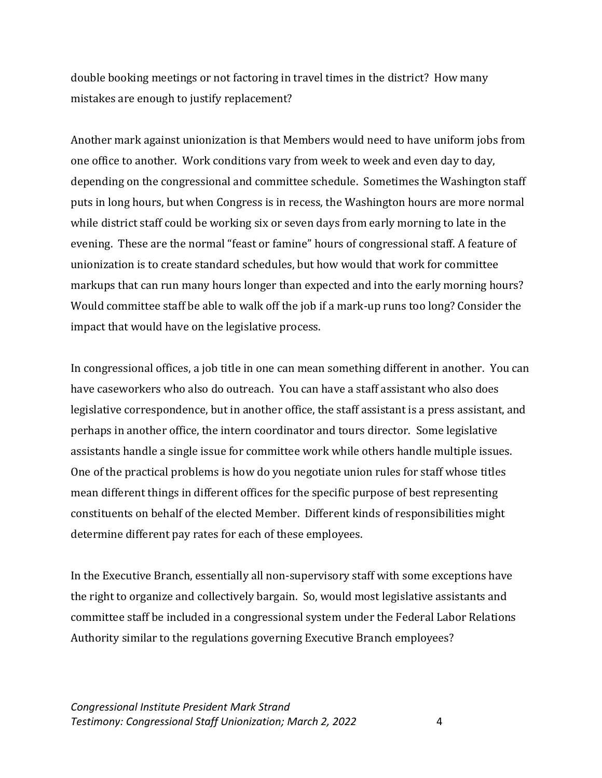double booking meetings or not factoring in travel times in the district? How many mistakes are enough to justify replacement?

Another mark against unionization is that Members would need to have uniform jobs from one office to another. Work conditions vary from week to week and even day to day, depending on the congressional and committee schedule. Sometimes the Washington staff puts in long hours, but when Congress is in recess, the Washington hours are more normal while district staff could be working six or seven days from early morning to late in the evening. These are the normal "feast or famine" hours of congressional staff. A feature of unionization is to create standard schedules, but how would that work for committee markups that can run many hours longer than expected and into the early morning hours? Would committee staff be able to walk off the job if a mark-up runs too long? Consider the impact that would have on the legislative process.

In congressional offices, a job title in one can mean something different in another. You can have caseworkers who also do outreach. You can have a staff assistant who also does legislative correspondence, but in another office, the staff assistant is a press assistant, and perhaps in another office, the intern coordinator and tours director. Some legislative assistants handle a single issue for committee work while others handle multiple issues. One of the practical problems is how do you negotiate union rules for staff whose titles mean different things in different offices for the specific purpose of best representing constituents on behalf of the elected Member. Different kinds of responsibilities might determine different pay rates for each of these employees.

In the Executive Branch, essentially all non-supervisory staff with some exceptions have the right to organize and collectively bargain. So, would most legislative assistants and committee staff be included in a congressional system under the Federal Labor Relations Authority similar to the regulations governing Executive Branch employees?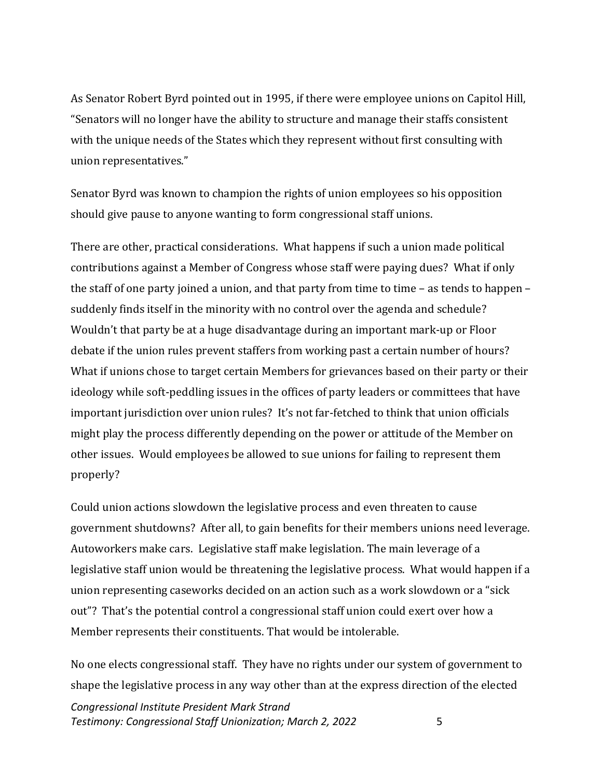As Senator Robert Byrd pointed out in 1995, if there were employee unions on Capitol Hill, "Senators will no longer have the ability to structure and manage their staffs consistent with the unique needs of the States which they represent without first consulting with union representatives."

Senator Byrd was known to champion the rights of union employees so his opposition should give pause to anyone wanting to form congressional staff unions.

There are other, practical considerations. What happens if such a union made political contributions against a Member of Congress whose staff were paying dues? What if only the staff of one party joined a union, and that party from time to time – as tends to happen – suddenly finds itself in the minority with no control over the agenda and schedule? Wouldn't that party be at a huge disadvantage during an important mark-up or Floor debate if the union rules prevent staffers from working past a certain number of hours? What if unions chose to target certain Members for grievances based on their party or their ideology while soft-peddling issues in the offices of party leaders or committees that have important jurisdiction over union rules? It's not far-fetched to think that union officials might play the process differently depending on the power or attitude of the Member on other issues. Would employees be allowed to sue unions for failing to represent them properly?

Could union actions slowdown the legislative process and even threaten to cause government shutdowns? After all, to gain benefits for their members unions need leverage. Autoworkers make cars. Legislative staff make legislation. The main leverage of a legislative staff union would be threatening the legislative process. What would happen if a union representing caseworks decided on an action such as a work slowdown or a "sick out"? That's the potential control a congressional staff union could exert over how a Member represents their constituents. That would be intolerable.

No one elects congressional staff. They have no rights under our system of government to shape the legislative process in any way other than at the express direction of the elected

*Congressional Institute President Mark Strand Testimony: Congressional Staff Unionization; March 2, 2022* 5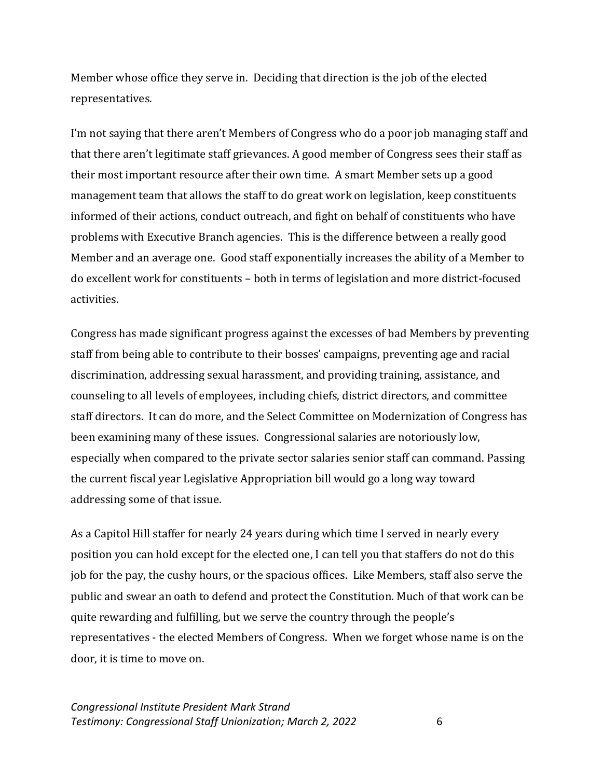Member whose office they serve in. Deciding that direction is the job of the elected representatives.

I'm not saying that there aren't Members of Congress who do a poor job managing staff and that there aren't legitimate staff grievances. A good member of Congress sees their staff as their most important resource after their own time. A smart Member sets up a good management team that allows the staff to do great work on legislation, keep constituents informed of their actions, conduct outreach, and fight on behalf of constituents who have problems with Executive Branch agencies. This is the difference between a really good Member and an average one. Good staff exponentially increases the ability of a Member to do excellent work for constituents – both in terms of legislation and more district-focused activities.

Congress has made significant progress against the excesses of bad Members by preventing staff from being able to contribute to their bosses' campaigns, preventing age and racial discrimination, addressing sexual harassment, and providing training, assistance, and counseling to all levels of employees, including chiefs, district directors, and committee staff directors. It can do more, and the Select Committee on Modernization of Congress has been examining many of these issues. Congressional salaries are notoriously low, especially when compared to the private sector salaries senior staff can command. Passing the current fiscal year Legislative Appropriation bill would go a long way toward addressing some of that issue.

As a Capitol Hill staffer for nearly 24 years during which time I served in nearly every position you can hold except for the elected one, I can tell you that staffers do not do this job for the pay, the cushy hours, or the spacious offices. Like Members, staff also serve the public and swear an oath to defend and protect the Constitution. Much of that work can be quite rewarding and fulfilling, but we serve the country through the people's representatives - the elected Members of Congress. When we forget whose name is on the door, it is time to move on.